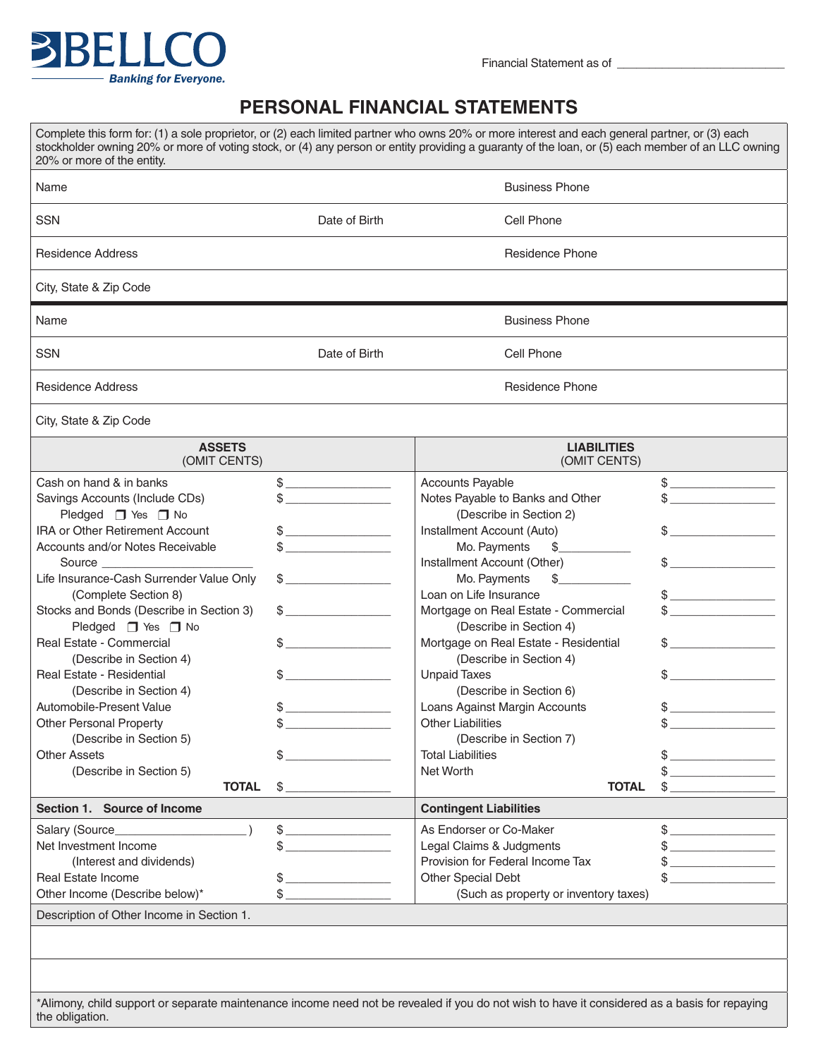

## **PERSONAL FINANCIAL STATEMENTS**

| 20% or more of the entity.                                                                                                                                                                                                                                                                                                                                                                                                                                                                                                                                                              |                                                                                                                                                                                                                                                                                                                                                                                                                                                             | Complete this form for: (1) a sole proprietor, or (2) each limited partner who owns 20% or more interest and each general partner, or (3) each<br>stockholder owning 20% or more of voting stock, or (4) any person or entity providing a guaranty of the loan, or (5) each member of an LLC owning                                                                                                                                                                                                                                                              |                                                                                                                                                                                                                                                                                                                                                                                      |  |
|-----------------------------------------------------------------------------------------------------------------------------------------------------------------------------------------------------------------------------------------------------------------------------------------------------------------------------------------------------------------------------------------------------------------------------------------------------------------------------------------------------------------------------------------------------------------------------------------|-------------------------------------------------------------------------------------------------------------------------------------------------------------------------------------------------------------------------------------------------------------------------------------------------------------------------------------------------------------------------------------------------------------------------------------------------------------|------------------------------------------------------------------------------------------------------------------------------------------------------------------------------------------------------------------------------------------------------------------------------------------------------------------------------------------------------------------------------------------------------------------------------------------------------------------------------------------------------------------------------------------------------------------|--------------------------------------------------------------------------------------------------------------------------------------------------------------------------------------------------------------------------------------------------------------------------------------------------------------------------------------------------------------------------------------|--|
| Name                                                                                                                                                                                                                                                                                                                                                                                                                                                                                                                                                                                    |                                                                                                                                                                                                                                                                                                                                                                                                                                                             | <b>Business Phone</b>                                                                                                                                                                                                                                                                                                                                                                                                                                                                                                                                            |                                                                                                                                                                                                                                                                                                                                                                                      |  |
| <b>SSN</b>                                                                                                                                                                                                                                                                                                                                                                                                                                                                                                                                                                              | Date of Birth                                                                                                                                                                                                                                                                                                                                                                                                                                               | Cell Phone                                                                                                                                                                                                                                                                                                                                                                                                                                                                                                                                                       |                                                                                                                                                                                                                                                                                                                                                                                      |  |
| <b>Residence Address</b>                                                                                                                                                                                                                                                                                                                                                                                                                                                                                                                                                                |                                                                                                                                                                                                                                                                                                                                                                                                                                                             | <b>Residence Phone</b>                                                                                                                                                                                                                                                                                                                                                                                                                                                                                                                                           |                                                                                                                                                                                                                                                                                                                                                                                      |  |
| City, State & Zip Code                                                                                                                                                                                                                                                                                                                                                                                                                                                                                                                                                                  |                                                                                                                                                                                                                                                                                                                                                                                                                                                             |                                                                                                                                                                                                                                                                                                                                                                                                                                                                                                                                                                  |                                                                                                                                                                                                                                                                                                                                                                                      |  |
| Name                                                                                                                                                                                                                                                                                                                                                                                                                                                                                                                                                                                    |                                                                                                                                                                                                                                                                                                                                                                                                                                                             | <b>Business Phone</b>                                                                                                                                                                                                                                                                                                                                                                                                                                                                                                                                            |                                                                                                                                                                                                                                                                                                                                                                                      |  |
| <b>SSN</b>                                                                                                                                                                                                                                                                                                                                                                                                                                                                                                                                                                              | Date of Birth                                                                                                                                                                                                                                                                                                                                                                                                                                               | Cell Phone                                                                                                                                                                                                                                                                                                                                                                                                                                                                                                                                                       |                                                                                                                                                                                                                                                                                                                                                                                      |  |
| Residence Address                                                                                                                                                                                                                                                                                                                                                                                                                                                                                                                                                                       |                                                                                                                                                                                                                                                                                                                                                                                                                                                             | <b>Residence Phone</b>                                                                                                                                                                                                                                                                                                                                                                                                                                                                                                                                           |                                                                                                                                                                                                                                                                                                                                                                                      |  |
| City, State & Zip Code                                                                                                                                                                                                                                                                                                                                                                                                                                                                                                                                                                  |                                                                                                                                                                                                                                                                                                                                                                                                                                                             |                                                                                                                                                                                                                                                                                                                                                                                                                                                                                                                                                                  |                                                                                                                                                                                                                                                                                                                                                                                      |  |
| <b>ASSETS</b><br>(OMIT CENTS)                                                                                                                                                                                                                                                                                                                                                                                                                                                                                                                                                           |                                                                                                                                                                                                                                                                                                                                                                                                                                                             | <b>LIABILITIES</b><br>(OMIT CENTS)                                                                                                                                                                                                                                                                                                                                                                                                                                                                                                                               |                                                                                                                                                                                                                                                                                                                                                                                      |  |
| Cash on hand & in banks<br>Savings Accounts (Include CDs)<br>Pledged $\Box$ Yes $\Box$ No<br><b>IRA or Other Retirement Account</b><br>Accounts and/or Notes Receivable<br>Life Insurance-Cash Surrender Value Only<br>(Complete Section 8)<br>Stocks and Bonds (Describe in Section 3)<br>Pledged □ Yes □ No<br>Real Estate - Commercial<br>(Describe in Section 4)<br>Real Estate - Residential<br>(Describe in Section 4)<br>Automobile-Present Value<br><b>Other Personal Property</b><br>(Describe in Section 5)<br><b>Other Assets</b><br>(Describe in Section 5)<br><b>TOTAL</b> | \$<br><u> 1980 - Jan Alexandria (</u><br>$\begin{picture}(20,10) \put(0,0){\line(1,0){10}} \put(15,0){\line(1,0){10}} \put(15,0){\line(1,0){10}} \put(15,0){\line(1,0){10}} \put(15,0){\line(1,0){10}} \put(15,0){\line(1,0){10}} \put(15,0){\line(1,0){10}} \put(15,0){\line(1,0){10}} \put(15,0){\line(1,0){10}} \put(15,0){\line(1,0){10}} \put(15,0){\line(1,0){10}} \put(15,0){\line(1$<br>\$<br>\$<br>\$<br>\$<br>\$<br>\$<br>\$<br>\$<br>$$^{\circ}$ | Accounts Payable<br>Notes Payable to Banks and Other<br>(Describe in Section 2)<br>Installment Account (Auto)<br>Mo. Payments<br>\$<br>Installment Account (Other)<br>$\frac{1}{2}$<br>Mo. Payments<br>Loan on Life Insurance<br>Mortgage on Real Estate - Commercial<br>(Describe in Section 4)<br>Mortgage on Real Estate - Residential<br>(Describe in Section 4)<br><b>Unpaid Taxes</b><br>(Describe in Section 6)<br>Loans Against Margin Accounts<br>Other Liabilities<br>(Describe in Section 7)<br><b>Total Liabilities</b><br>Net Worth<br><b>TOTAL</b> | $\frac{1}{\sqrt{2}}$<br>$\frac{1}{2}$<br>the company of the company of<br>\$<br>the control of the control of the control of<br>$\frac{1}{\sqrt{2}}$                                                                                                                                                                                                                                 |  |
| Section 1. Source of Income                                                                                                                                                                                                                                                                                                                                                                                                                                                                                                                                                             |                                                                                                                                                                                                                                                                                                                                                                                                                                                             | <b>Contingent Liabilities</b>                                                                                                                                                                                                                                                                                                                                                                                                                                                                                                                                    |                                                                                                                                                                                                                                                                                                                                                                                      |  |
| Salary (Source_<br>Net Investment Income<br>(Interest and dividends)<br>Real Estate Income<br>Other Income (Describe below)*<br>Description of Other Income in Section 1.                                                                                                                                                                                                                                                                                                                                                                                                               | \$<br>\$<br>\$<br>\$                                                                                                                                                                                                                                                                                                                                                                                                                                        | As Endorser or Co-Maker<br>Legal Claims & Judgments<br>Provision for Federal Income Tax<br>Other Special Debt<br>(Such as property or inventory taxes)                                                                                                                                                                                                                                                                                                                                                                                                           | $\begin{picture}(20,20) \put(0,0){\vector(1,0){100}} \put(15,0){\vector(1,0){100}} \put(15,0){\vector(1,0){100}} \put(15,0){\vector(1,0){100}} \put(15,0){\vector(1,0){100}} \put(15,0){\vector(1,0){100}} \put(15,0){\vector(1,0){100}} \put(15,0){\vector(1,0){100}} \put(15,0){\vector(1,0){100}} \put(15,0){\vector(1,0){100}} \put(15,0){\vector(1,0){100}} \$<br>$\frac{1}{2}$ |  |
|                                                                                                                                                                                                                                                                                                                                                                                                                                                                                                                                                                                         |                                                                                                                                                                                                                                                                                                                                                                                                                                                             |                                                                                                                                                                                                                                                                                                                                                                                                                                                                                                                                                                  |                                                                                                                                                                                                                                                                                                                                                                                      |  |

\*Alimony, child support or separate maintenance income need not be revealed if you do not wish to have it considered as a basis for repaying the obligation.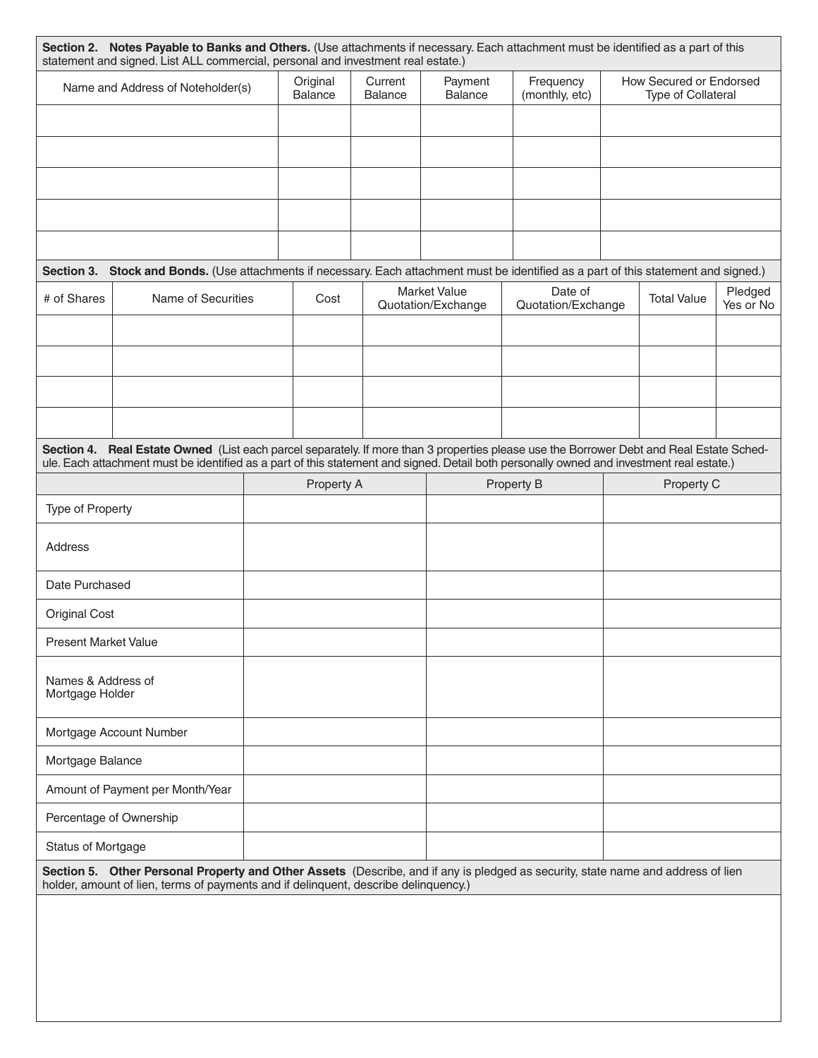|                                       | Name and Address of Noteholder(s)                                                                                                         |  | Current<br>Original<br>Balance<br><b>Balance</b> |  | Payment<br>Frequency<br><b>Balance</b><br>(monthly, etc) |                    | How Secured or Endorsed<br><b>Type of Collateral</b> |                    |           |
|---------------------------------------|-------------------------------------------------------------------------------------------------------------------------------------------|--|--------------------------------------------------|--|----------------------------------------------------------|--------------------|------------------------------------------------------|--------------------|-----------|
|                                       |                                                                                                                                           |  |                                                  |  |                                                          |                    |                                                      |                    |           |
|                                       |                                                                                                                                           |  |                                                  |  |                                                          |                    |                                                      |                    |           |
|                                       |                                                                                                                                           |  |                                                  |  |                                                          |                    |                                                      |                    |           |
|                                       |                                                                                                                                           |  |                                                  |  |                                                          |                    |                                                      |                    |           |
|                                       |                                                                                                                                           |  |                                                  |  |                                                          |                    |                                                      |                    |           |
|                                       |                                                                                                                                           |  |                                                  |  |                                                          |                    |                                                      |                    |           |
|                                       | Section 3. Stock and Bonds. (Use attachments if necessary. Each attachment must be identified as a part of this statement and signed.)    |  |                                                  |  | <b>Market Value</b>                                      | Date of            |                                                      |                    | Pledged   |
| # of Shares                           | Name of Securities                                                                                                                        |  | Cost                                             |  | Quotation/Exchange                                       | Quotation/Exchange |                                                      | <b>Total Value</b> | Yes or No |
|                                       |                                                                                                                                           |  |                                                  |  |                                                          |                    |                                                      |                    |           |
|                                       |                                                                                                                                           |  |                                                  |  |                                                          |                    |                                                      |                    |           |
|                                       |                                                                                                                                           |  |                                                  |  |                                                          |                    |                                                      |                    |           |
|                                       |                                                                                                                                           |  |                                                  |  |                                                          |                    |                                                      |                    |           |
|                                       | Section 4. Real Estate Owned (List each parcel separately. If more than 3 properties please use the Borrower Debt and Real Estate Sched-  |  |                                                  |  |                                                          |                    |                                                      |                    |           |
|                                       | ule. Each attachment must be identified as a part of this statement and signed. Detail both personally owned and investment real estate.) |  | Property A                                       |  |                                                          | Property B         |                                                      | Property C         |           |
| Type of Property                      |                                                                                                                                           |  |                                                  |  |                                                          |                    |                                                      |                    |           |
|                                       |                                                                                                                                           |  |                                                  |  |                                                          |                    |                                                      |                    |           |
| <b>Address</b>                        |                                                                                                                                           |  |                                                  |  |                                                          |                    |                                                      |                    |           |
|                                       |                                                                                                                                           |  |                                                  |  |                                                          |                    |                                                      |                    |           |
| Date Purchased                        |                                                                                                                                           |  |                                                  |  |                                                          |                    |                                                      |                    |           |
| <b>Original Cost</b>                  |                                                                                                                                           |  |                                                  |  |                                                          |                    |                                                      |                    |           |
| <b>Present Market Value</b>           |                                                                                                                                           |  |                                                  |  |                                                          |                    |                                                      |                    |           |
| Names & Address of<br>Mortgage Holder |                                                                                                                                           |  |                                                  |  |                                                          |                    |                                                      |                    |           |
|                                       | Mortgage Account Number                                                                                                                   |  |                                                  |  |                                                          |                    |                                                      |                    |           |
| Mortgage Balance                      |                                                                                                                                           |  |                                                  |  |                                                          |                    |                                                      |                    |           |
|                                       | Amount of Payment per Month/Year                                                                                                          |  |                                                  |  |                                                          |                    |                                                      |                    |           |
| Percentage of Ownership               |                                                                                                                                           |  |                                                  |  |                                                          |                    |                                                      |                    |           |
| Status of Mortgage                    |                                                                                                                                           |  |                                                  |  |                                                          |                    |                                                      |                    |           |
|                                       | Section 5. Other Personal Property and Other Assets (Describe, and if any is pledged as security, state name and address of lien          |  |                                                  |  |                                                          |                    |                                                      |                    |           |
|                                       | holder, amount of lien, terms of payments and if delinquent, describe delinquency.)                                                       |  |                                                  |  |                                                          |                    |                                                      |                    |           |
|                                       |                                                                                                                                           |  |                                                  |  |                                                          |                    |                                                      |                    |           |